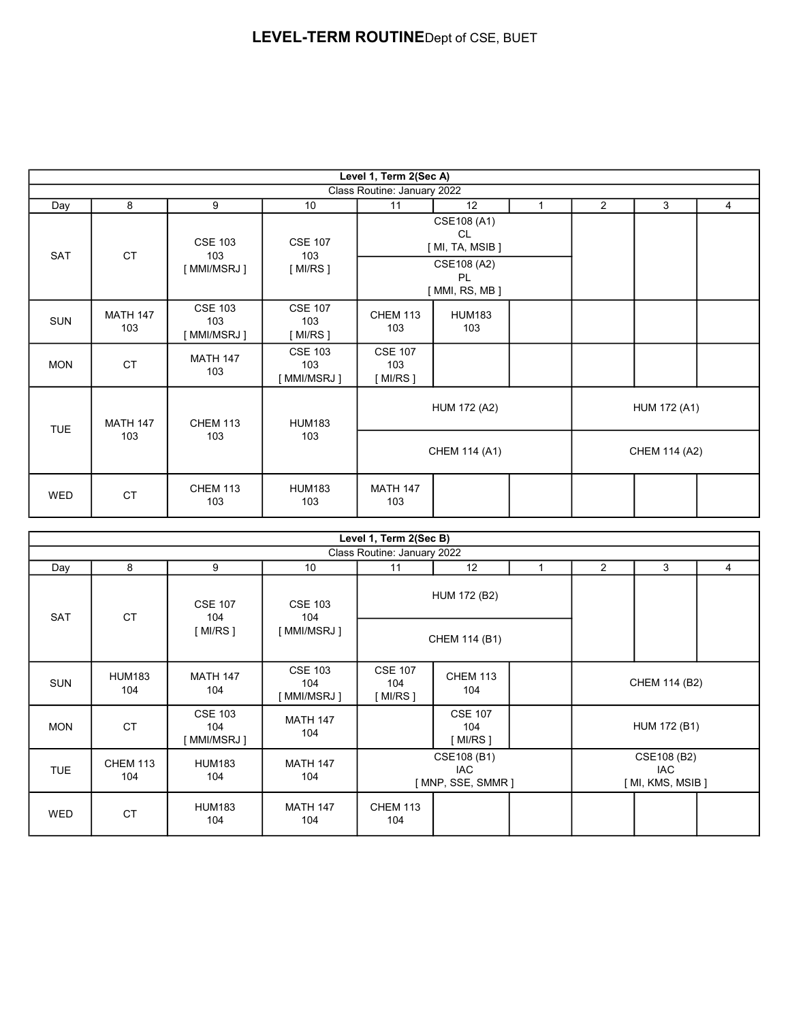|            | Level 1, Term 2(Sec A) |                                              |                                       |                                    |                                     |              |               |              |                |  |  |
|------------|------------------------|----------------------------------------------|---------------------------------------|------------------------------------|-------------------------------------|--------------|---------------|--------------|----------------|--|--|
|            |                        |                                              |                                       | Class Routine: January 2022        |                                     |              |               |              |                |  |  |
| Day        | 8                      | 9                                            | 10 <sup>°</sup>                       | 11                                 | 12                                  | $\mathbf{1}$ | 2             | 3            | $\overline{4}$ |  |  |
| SAT        | <b>CT</b>              | <b>CSE 103</b><br>103<br>103<br>[ MMI/MSRJ ] | <b>CSE 107</b>                        |                                    | CSE108 (A1)<br>CL<br>[MI, TA, MSIB] |              |               |              |                |  |  |
|            |                        |                                              | [MI/RS]                               |                                    | CSE108 (A2)<br>PL<br>[MMI, RS, MB]  |              |               |              |                |  |  |
| <b>SUN</b> | <b>MATH 147</b><br>103 | <b>CSE 103</b><br>103<br>[ MMI/MSRJ ]        | <b>CSE 107</b><br>103<br>[ MI/RS ]    | <b>CHEM 113</b><br>103             | <b>HUM183</b><br>103                |              |               |              |                |  |  |
| <b>MON</b> | <b>CT</b>              | <b>MATH 147</b><br>103                       | <b>CSE 103</b><br>103<br>[ MMI/MSRJ ] | <b>CSE 107</b><br>103<br>[ MI/RS ] |                                     |              |               |              |                |  |  |
|            | <b>MATH 147</b>        | <b>CHEM 113</b>                              | <b>HUM183</b>                         |                                    | <b>HUM 172 (A2)</b>                 |              |               | HUM 172 (A1) |                |  |  |
| <b>TUE</b> | 103                    | 103                                          | 103                                   | CHEM 114 (A1)                      |                                     |              | CHEM 114 (A2) |              |                |  |  |
| <b>WED</b> | <b>CT</b>              | <b>CHEM 113</b><br>103                       | <b>HUM183</b><br>103                  | <b>MATH 147</b><br>103             |                                     |              |               |              |                |  |  |

|            |                        |                                                                             |                                       | Level 1, Term 2(Sec B)                  |                                                    |  |  |                                                |   |
|------------|------------------------|-----------------------------------------------------------------------------|---------------------------------------|-----------------------------------------|----------------------------------------------------|--|--|------------------------------------------------|---|
|            |                        |                                                                             |                                       | Class Routine: January 2022             |                                                    |  |  |                                                |   |
| Day        | 8                      | 9                                                                           | 10                                    | 3<br>11<br>12<br>2<br>1                 |                                                    |  |  |                                                | 4 |
| <b>SAT</b> | <b>CT</b>              | <b>CSE 103</b><br><b>CSE 107</b><br>104<br>104<br>[ MI/RS ]<br>[ MMI/MSRJ ] |                                       |                                         | HUM 172 (B2)                                       |  |  |                                                |   |
|            |                        |                                                                             |                                       | CHEM 114 (B1)                           |                                                    |  |  |                                                |   |
| <b>SUN</b> | <b>HUM183</b><br>104   | <b>MATH 147</b><br>104                                                      | <b>CSE 103</b><br>104<br>[ MMI/MSRJ ] | <b>CSE 107</b><br>104<br>[ MI/RS ]      | <b>CHEM 113</b><br>CHEM 114 (B2)<br>104            |  |  |                                                |   |
| <b>MON</b> | <b>CT</b>              | <b>CSE 103</b><br>104<br>[ MMI/MSRJ ]                                       | <b>MATH 147</b><br>104                |                                         | <b>CSE 107</b><br>HUM 172 (B1)<br>104<br>[ MI/RS ] |  |  |                                                |   |
| <b>TUE</b> | <b>CHEM 113</b><br>104 | <b>HUM183</b><br>104                                                        | <b>MATH 147</b><br>104                | CSE108 (B1)<br>IAC<br>[MNP, SSE, SMMR ] |                                                    |  |  | CSE108 (B2)<br><b>IAC</b><br>[ MI, KMS, MSIB ] |   |
| <b>WED</b> | <b>CT</b>              | <b>HUM183</b><br>104                                                        | <b>MATH 147</b><br>104                | <b>CHEM 113</b><br>104                  |                                                    |  |  |                                                |   |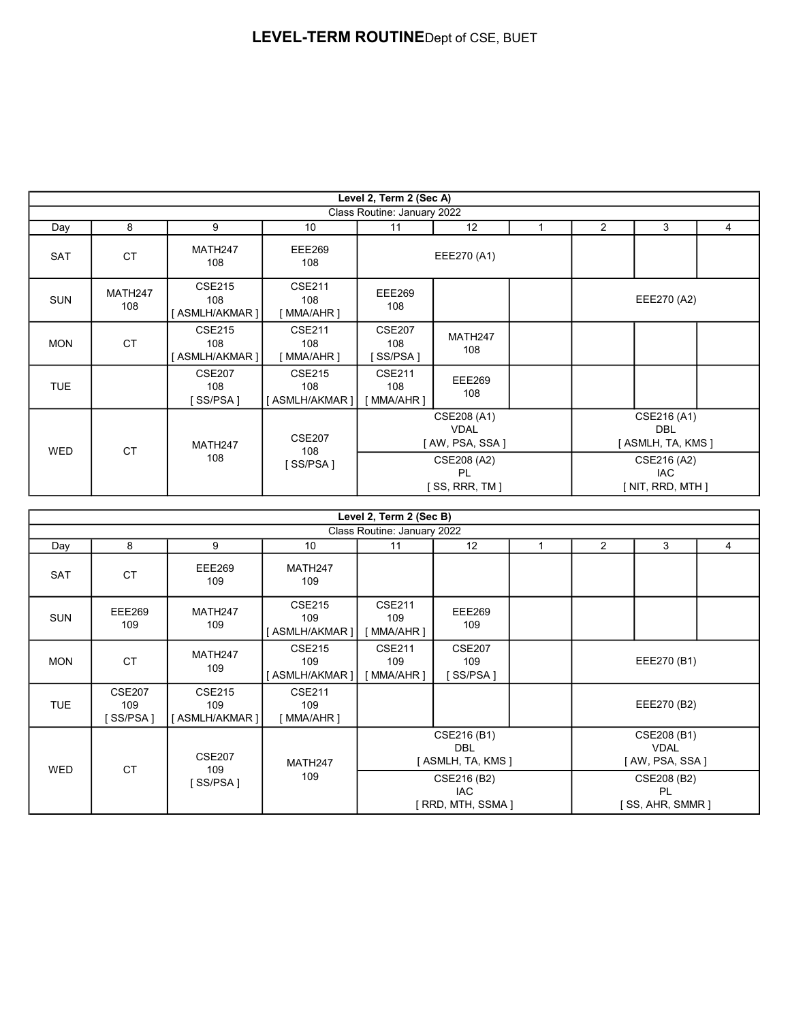|            |                             |                                                     |                                          | Level 2, Term 2 (Sec A)                      |                      |                                                |                                         |             |   |  |
|------------|-----------------------------|-----------------------------------------------------|------------------------------------------|----------------------------------------------|----------------------|------------------------------------------------|-----------------------------------------|-------------|---|--|
|            | Class Routine: January 2022 |                                                     |                                          |                                              |                      |                                                |                                         |             |   |  |
| Day        | 8                           | 9                                                   | 10                                       | 11                                           | 12                   | 1                                              | $\overline{2}$                          | 3           | 4 |  |
| <b>SAT</b> | <b>CT</b>                   | MATH247<br>108                                      | <b>EEE269</b><br>108                     | EEE270 (A1)                                  |                      |                                                |                                         |             |   |  |
| <b>SUN</b> | MATH247<br>108              | <b>CSE215</b><br>108<br>[ASMLH/AKMAR]               | <b>CSE211</b><br>108<br>[ MMA/AHR ]      | <b>EEE269</b><br>108                         |                      |                                                |                                         | EEE270 (A2) |   |  |
| <b>MON</b> | <b>CT</b>                   | <b>CSE215</b><br>108<br>[ASMLH/AKMAR]               | <b>CSE211</b><br>108<br>[MMA/AHR]        | <b>CSE207</b><br>108<br>SS/PSA ]             | MATH247<br>108       |                                                |                                         |             |   |  |
| TUE.       |                             | <b>CSE207</b><br>108<br>[SS/PSA]                    | <b>CSE215</b><br>108<br>ASMLH/AKMAR 1    | <b>CSE211</b><br>108<br>`MMA/AHR ]           | <b>EEE269</b><br>108 |                                                |                                         |             |   |  |
|            | <b>CT</b>                   | <b>CSE207</b><br>MATH247<br>108<br>108<br>`SS/PSA ] |                                          | CSE208 (A1)<br><b>VDAL</b><br>[AW, PSA, SSA] |                      |                                                | CSE216 (A1)<br>DBL<br>[ASMLH, TA, KMS ] |             |   |  |
| <b>WED</b> |                             |                                                     | CSE208 (A2)<br>PL<br>$[$ SS, RRR, TM $]$ |                                              |                      | CSE216 (A2)<br><b>IAC</b><br>[ NIT, RRD, MTH ] |                                         |             |   |  |

| Level 2, Term 2 (Sec B) |                                   |                                       |                                       |                                                 |                                  |  |                                               |   |   |  |  |
|-------------------------|-----------------------------------|---------------------------------------|---------------------------------------|-------------------------------------------------|----------------------------------|--|-----------------------------------------------|---|---|--|--|
|                         | Class Routine: January 2022       |                                       |                                       |                                                 |                                  |  |                                               |   |   |  |  |
| Day                     | 8                                 | 9                                     | 10                                    | 11                                              | 12                               |  | $\overline{2}$                                | 3 | 4 |  |  |
| SAT                     | <b>CT</b>                         | <b>EEE269</b><br>109                  | MATH247<br>109                        |                                                 |                                  |  |                                               |   |   |  |  |
| <b>SUN</b>              | <b>EEE269</b><br>109              | MATH247<br>109                        | <b>CSE215</b><br>109<br>[ASMLH/AKMAR] | <b>CSE211</b><br>109<br>[ MMA/AHR ]             | <b>EEE269</b><br>109             |  |                                               |   |   |  |  |
| <b>MON</b>              | <b>CT</b>                         | MATH247<br>109                        | <b>CSE215</b><br>109<br>[ASMLH/AKMAR] | <b>CSE211</b><br>109<br>MMA/AHR 1               | <b>CSE207</b><br>109<br>[SS/PSA] |  | EEE270 (B1)                                   |   |   |  |  |
| <b>TUE</b>              | <b>CSE207</b><br>109<br>`SS/PSA ] | <b>CSE215</b><br>109<br>[ASMLH/AKMAR] | <b>CSE211</b><br>109<br>[ MMA/AHR ]   |                                                 |                                  |  | EEE270 (B2)                                   |   |   |  |  |
|                         | <b>CT</b>                         | <b>CSE207</b><br>109<br>SS/PSA 1      | MATH247<br>109                        | CSE216 (B1)<br><b>DBL</b><br>[ASMLH, TA, KMS ]  |                                  |  | CSE208 (B1)<br><b>VDAL</b><br>[AW, PSA, SSA ] |   |   |  |  |
| <b>WED</b>              |                                   |                                       |                                       | CSE216 (B2)<br><b>IAC</b><br>[ RRD, MTH, SSMA ] |                                  |  | CSE208 (B2)<br><b>PL</b><br>SS, AHR, SMMR ]   |   |   |  |  |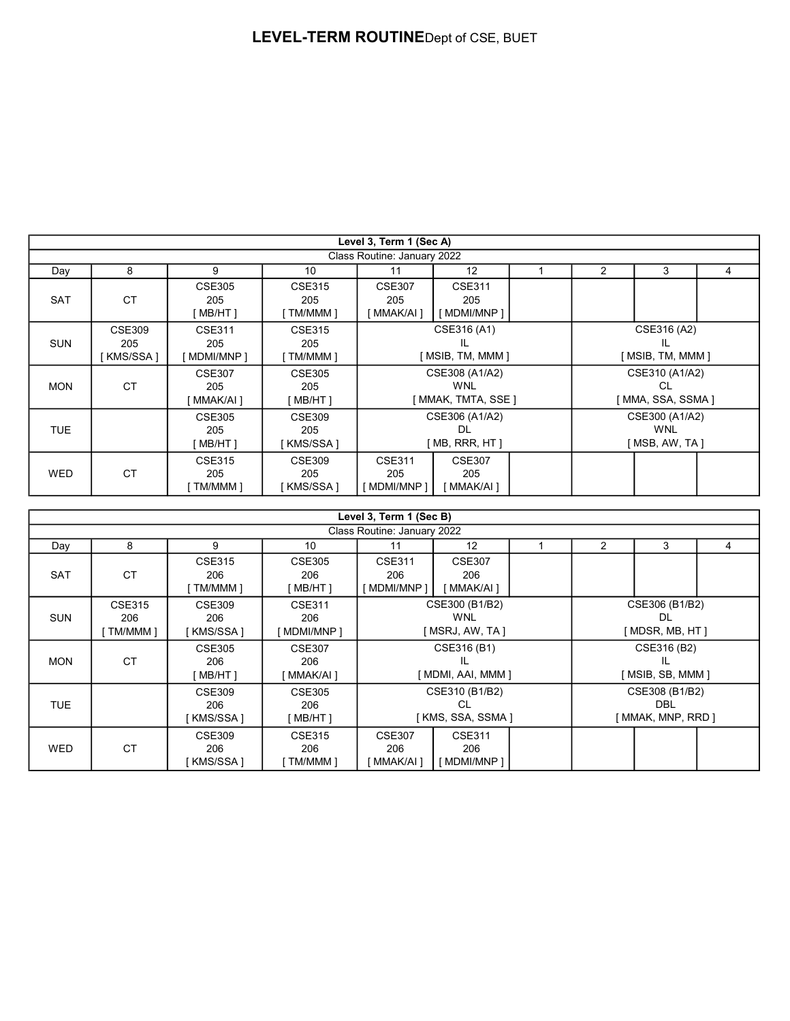|            |                                   |                                   |                                  | Level 3, Term 1 (Sec A)                      |                                                     |  |                                                 |                                            |   |  |
|------------|-----------------------------------|-----------------------------------|----------------------------------|----------------------------------------------|-----------------------------------------------------|--|-------------------------------------------------|--------------------------------------------|---|--|
|            |                                   |                                   |                                  | Class Routine: January 2022                  |                                                     |  |                                                 |                                            |   |  |
| Day        | 8                                 | 9                                 | 10                               | 11                                           | 12                                                  |  | $\overline{2}$                                  | 3                                          | 4 |  |
| <b>SAT</b> | <b>CT</b>                         | <b>CSE305</b><br>205<br>MB/HT 1   | <b>CSE315</b><br>205<br>TM/MMM 1 | <b>CSE307</b><br>205<br>[ MMAK/AI ]          | <b>CSE311</b><br>205<br>[ MDMI/MNP ]                |  |                                                 |                                            |   |  |
| <b>SUN</b> | <b>CSE309</b><br>205<br>[KMS/SSA] | CSE311<br>205<br>[ MDMI/MNP ]     | CSE315<br>205<br>[ TM/MMM ]      | CSE316 (A1)<br>IL<br>[ MSIB, TM, MMM ]       |                                                     |  | CSE316 (A2)<br>[ MSIB, TM, MMM ]                |                                            |   |  |
| <b>MON</b> | <b>CT</b>                         | <b>CSE307</b><br>205<br>MMAK/AI 1 | <b>CSE305</b><br>205<br>MB/HT 1  |                                              | CSE308 (A1/A2)<br><b>WNL</b><br>[ MMAK, TMTA, SSE ] |  |                                                 | CSE310 (A1/A2)<br>CL<br>[ MMA, SSA, SSMA ] |   |  |
| TUE.       |                                   | <b>CSE305</b><br>205<br>MB/HT 1   | CSE309<br>205<br>KMS/SSA1        | CSE306 (A1/A2)<br><b>DL</b><br>[MB, RRR, HT] |                                                     |  | CSE300 (A1/A2)<br><b>WNL</b><br>[ MSB, AW, TA ] |                                            |   |  |
| <b>WED</b> | <b>CT</b>                         | <b>CSE315</b><br>205<br>TM/MMM 1  | <b>CSE309</b><br>205<br>KMS/SSA1 | <b>CSE311</b><br>205<br>' MDMI/MNP 1         | <b>CSE307</b><br>205<br>MMAK/AI 1                   |  |                                                 |                                            |   |  |

|                             |                                    |                                   |                                     | Level 3, Term 1 (Sec B)                          |                                         |  |                                                  |                                  |  |  |
|-----------------------------|------------------------------------|-----------------------------------|-------------------------------------|--------------------------------------------------|-----------------------------------------|--|--------------------------------------------------|----------------------------------|--|--|
| Class Routine: January 2022 |                                    |                                   |                                     |                                                  |                                         |  |                                                  |                                  |  |  |
| Day                         | 8                                  | 9                                 | 10                                  | 12<br>2<br>3<br>11                               |                                         |  |                                                  | 4                                |  |  |
| <b>SAT</b>                  | <b>CT</b>                          | <b>CSE315</b><br>206<br>TM/MMM 1  | <b>CSE305</b><br>206<br>MB/HT 1     | <b>CSE311</b><br>206<br>' MDMI/MNP 1             | <b>CSE307</b><br>206<br>[ MMAK/AI ]     |  |                                                  |                                  |  |  |
| <b>SUN</b>                  | <b>CSE315</b><br>206<br>[ TM/MMM ] | <b>CSE309</b><br>206<br>KMS/SSA ] | <b>CSE311</b><br>206<br>MDMI/MNP 1  | CSE300 (B1/B2)<br><b>WNL</b><br>[ MSRJ, AW, TA ] |                                         |  | CSE306 (B1/B2)<br>DL.<br>[MDSR, MB, HT]          |                                  |  |  |
| <b>MON</b>                  | <b>CT</b>                          | <b>CSE305</b><br>206<br>`MB/HT ]  | <b>CSE307</b><br>206<br>[ MMAK/AI ] |                                                  | CSE316 (B1)<br>Ш.<br>[ MDMI, AAI, MMM ] |  |                                                  | CSE316 (B2)<br>[ MSIB, SB, MMM ] |  |  |
| <b>TUE</b>                  |                                    | <b>CSE309</b><br>206<br>[KMS/SSA] | <b>CSE305</b><br>206<br>` MB/HT 1   | CSE310 (B1/B2)<br>CL<br>[ KMS, SSA, SSMA ]       |                                         |  | CSE308 (B1/B2)<br><b>DBL</b><br>MMAK, MNP, RRD 1 |                                  |  |  |
| <b>WED</b>                  | <b>CT</b>                          | <b>CSE309</b><br>206<br>KMS/SSA1  | CSE315<br>206<br>TM/MMM 1           | <b>CSE307</b><br>206<br>MMAK/AI ]                | <b>CSE311</b><br>206<br>MDMI/MNP 1      |  |                                                  |                                  |  |  |